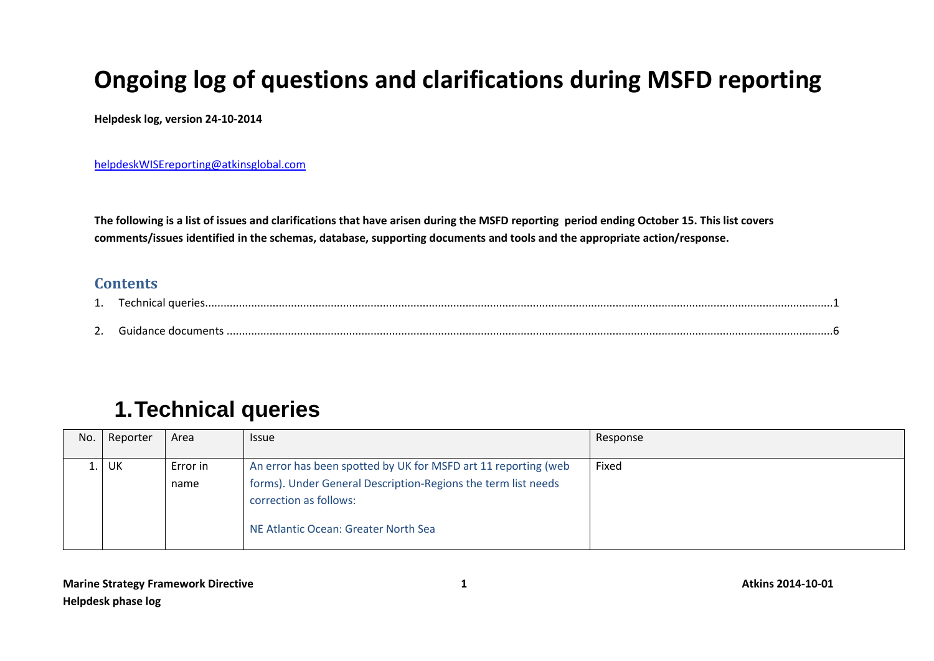## **Ongoing log of questions and clarifications during MSFD reporting**

**Helpdesk log, version 24-10-2014**

[helpdeskWISEreporting@atkinsglobal.com](mailto:helpdeskWISEreporting@atkinsglobal.com)

**The following is a list of issues and clarifications that have arisen during the MSFD reporting period ending October 15. This list covers comments/issues identified in the schemas, database, supporting documents and tools and the appropriate action/response.** 

## **Contents**

| ີ |  |
|---|--|

## <span id="page-0-0"></span>**1.Technical queries**

| No. | Reporter | Area     | <b>Issue</b>                                                   | Response |
|-----|----------|----------|----------------------------------------------------------------|----------|
|     |          |          |                                                                |          |
|     | UK       | Error in | An error has been spotted by UK for MSFD art 11 reporting (web | Fixed    |
|     |          | name     | forms). Under General Description-Regions the term list needs  |          |
|     |          |          | correction as follows:                                         |          |
|     |          |          | NE Atlantic Ocean: Greater North Sea                           |          |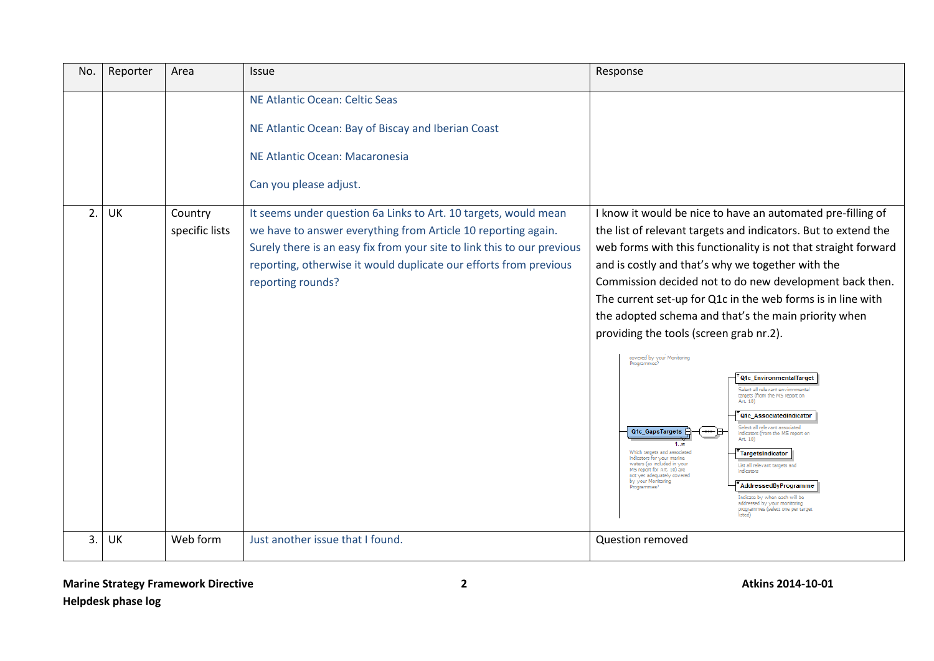| No.            | Reporter  | Area                      | <b>Issue</b>                                                                                                                                                                                                                                                                                          | Response                                                                                                                                                                                                                                                                                                                                                                                                                                                                                                                                                                                                                                                                                                                                                                                                                                                                                                                                                                                                                                                                                                                                                                             |
|----------------|-----------|---------------------------|-------------------------------------------------------------------------------------------------------------------------------------------------------------------------------------------------------------------------------------------------------------------------------------------------------|--------------------------------------------------------------------------------------------------------------------------------------------------------------------------------------------------------------------------------------------------------------------------------------------------------------------------------------------------------------------------------------------------------------------------------------------------------------------------------------------------------------------------------------------------------------------------------------------------------------------------------------------------------------------------------------------------------------------------------------------------------------------------------------------------------------------------------------------------------------------------------------------------------------------------------------------------------------------------------------------------------------------------------------------------------------------------------------------------------------------------------------------------------------------------------------|
|                |           |                           | NE Atlantic Ocean: Celtic Seas<br>NE Atlantic Ocean: Bay of Biscay and Iberian Coast<br>NE Atlantic Ocean: Macaronesia<br>Can you please adjust.                                                                                                                                                      |                                                                                                                                                                                                                                                                                                                                                                                                                                                                                                                                                                                                                                                                                                                                                                                                                                                                                                                                                                                                                                                                                                                                                                                      |
| 2.             | UK        | Country<br>specific lists | It seems under question 6a Links to Art. 10 targets, would mean<br>we have to answer everything from Article 10 reporting again.<br>Surely there is an easy fix from your site to link this to our previous<br>reporting, otherwise it would duplicate our efforts from previous<br>reporting rounds? | I know it would be nice to have an automated pre-filling of<br>the list of relevant targets and indicators. But to extend the<br>web forms with this functionality is not that straight forward<br>and is costly and that's why we together with the<br>Commission decided not to do new development back then.<br>The current set-up for Q1c in the web forms is in line with<br>the adopted schema and that's the main priority when<br>providing the tools (screen grab nr.2).<br>covered by your Monitoring<br>Programmes?<br>Q1c EnvironmentalTarget<br>Select all relevant environmental<br>targets (from the MS report on<br>Art. 10)<br>Q1c_AssociatedIndicator<br>Select all relevant associated<br>Q1c_GapsTargets<br>indicators (from the MS report on<br>Art. 10)<br>1 00<br>Which targets and associated<br>TargetsIndicator<br>indicators for your marine<br>waters (as included in your<br>List all relevant targets and<br>MS report for Art. 10) are<br>indicators<br>not yet adequately covered<br>by your Monitoring<br>AddressedByProgramme<br>Programmes?<br>Indicate by when each will be<br>addressed by your monitoring<br>programmes (select one per target |
| 3 <sub>1</sub> | <b>UK</b> | Web form                  | Just another issue that I found.                                                                                                                                                                                                                                                                      | <b>Question removed</b>                                                                                                                                                                                                                                                                                                                                                                                                                                                                                                                                                                                                                                                                                                                                                                                                                                                                                                                                                                                                                                                                                                                                                              |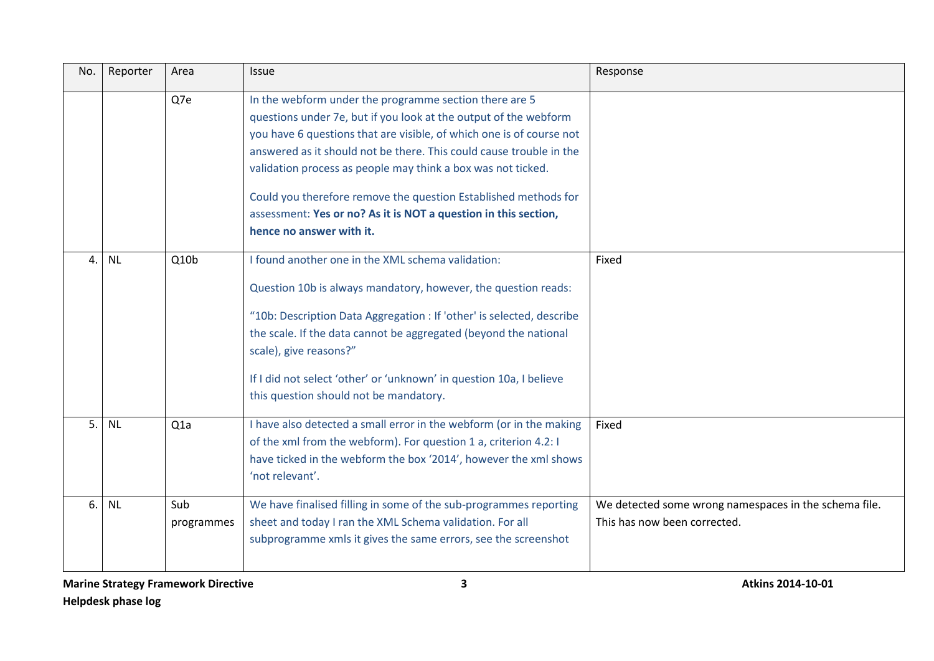| No. | Reporter  | Area              | <b>Issue</b>                                                                                                                                                                                                                                                                                                                                                                                                                                                                                                | Response                                                                              |
|-----|-----------|-------------------|-------------------------------------------------------------------------------------------------------------------------------------------------------------------------------------------------------------------------------------------------------------------------------------------------------------------------------------------------------------------------------------------------------------------------------------------------------------------------------------------------------------|---------------------------------------------------------------------------------------|
|     |           | Q7e               | In the webform under the programme section there are 5<br>questions under 7e, but if you look at the output of the webform<br>you have 6 questions that are visible, of which one is of course not<br>answered as it should not be there. This could cause trouble in the<br>validation process as people may think a box was not ticked.<br>Could you therefore remove the question Established methods for<br>assessment: Yes or no? As it is NOT a question in this section,<br>hence no answer with it. |                                                                                       |
| 4.  | <b>NL</b> | Q10 <sub>b</sub>  | I found another one in the XML schema validation:<br>Question 10b is always mandatory, however, the question reads:<br>"10b: Description Data Aggregation : If 'other' is selected, describe<br>the scale. If the data cannot be aggregated (beyond the national<br>scale), give reasons?"<br>If I did not select 'other' or 'unknown' in question 10a, I believe<br>this question should not be mandatory.                                                                                                 | Fixed                                                                                 |
| 5.1 | <b>NL</b> | Q <sub>1</sub> a  | I have also detected a small error in the webform (or in the making<br>of the xml from the webform). For question 1 a, criterion 4.2: I<br>have ticked in the webform the box '2014', however the xml shows<br>'not relevant'.                                                                                                                                                                                                                                                                              | Fixed                                                                                 |
| 6.  | <b>NL</b> | Sub<br>programmes | We have finalised filling in some of the sub-programmes reporting<br>sheet and today I ran the XML Schema validation. For all<br>subprogramme xmls it gives the same errors, see the screenshot                                                                                                                                                                                                                                                                                                             | We detected some wrong namespaces in the schema file.<br>This has now been corrected. |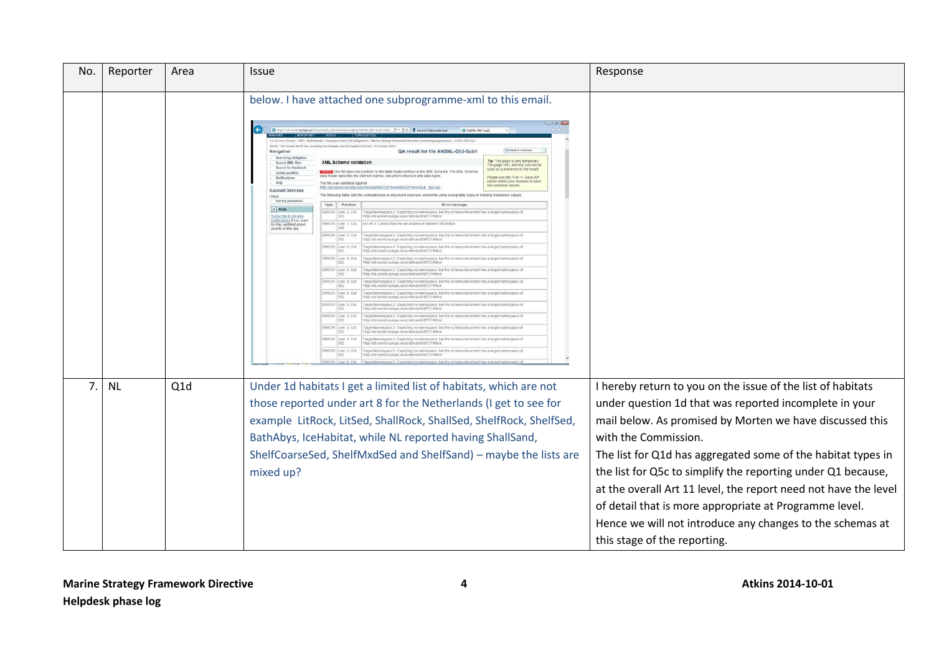| No. | Reporter  | Area | Issue                                                                                                                                                                                                                                                                                                                                                                                                                                                                                                                                                                                                                                                                                                                                                                                                                                                                                                                                                                                                                                                                                                                                                                                                                                                                                                                                                                                                                                                                                                                                                                                                                                                                                                                                                                                                                                                                                                                                                                                                                                                                                                                                                                                                                                                                                                                                                                                                                                                                                                                                                                                                                                                                                                                                                                                                                                                                                                                                                                                                                                                                                                                                                                                                                                                                                          | Response                                                                                                                                                                                                                                                                                                                                                                                                                                                                                                                                                            |  |
|-----|-----------|------|------------------------------------------------------------------------------------------------------------------------------------------------------------------------------------------------------------------------------------------------------------------------------------------------------------------------------------------------------------------------------------------------------------------------------------------------------------------------------------------------------------------------------------------------------------------------------------------------------------------------------------------------------------------------------------------------------------------------------------------------------------------------------------------------------------------------------------------------------------------------------------------------------------------------------------------------------------------------------------------------------------------------------------------------------------------------------------------------------------------------------------------------------------------------------------------------------------------------------------------------------------------------------------------------------------------------------------------------------------------------------------------------------------------------------------------------------------------------------------------------------------------------------------------------------------------------------------------------------------------------------------------------------------------------------------------------------------------------------------------------------------------------------------------------------------------------------------------------------------------------------------------------------------------------------------------------------------------------------------------------------------------------------------------------------------------------------------------------------------------------------------------------------------------------------------------------------------------------------------------------------------------------------------------------------------------------------------------------------------------------------------------------------------------------------------------------------------------------------------------------------------------------------------------------------------------------------------------------------------------------------------------------------------------------------------------------------------------------------------------------------------------------------------------------------------------------------------------------------------------------------------------------------------------------------------------------------------------------------------------------------------------------------------------------------------------------------------------------------------------------------------------------------------------------------------------------------------------------------------------------------------------------------------------------|---------------------------------------------------------------------------------------------------------------------------------------------------------------------------------------------------------------------------------------------------------------------------------------------------------------------------------------------------------------------------------------------------------------------------------------------------------------------------------------------------------------------------------------------------------------------|--|
|     |           |      | below. I have attached one subprogramme-xml to this email.<br>$\left( \leftarrow \right)$<br>$\Box$ O $m_{\rm Pl}$<br>cte 0 - B O B Intranet Rijksw<br><b>MSM : The C</b><br>fing the Katlegal, and the English Channel». 15 October 201-<br>QA result for file ANSNL-D02-Sub1<br>Navigation<br>Search by obligati<br>Search XMI files<br><b>XML Schema validation</b><br>Search for feedback<br>The file does not conform to the data model defined in the XML Schema. The XML Schema<br>Global worklist<br>fel specifies the element names, document structure and data types<br>Notifications<br>Help<br>The file was validated against<br>http://dd.eionet.europa.eu/schemas/MSFD11Mon/MSFD11MonSub<br><b>Account Services</b><br>The following table lists the contradictions in document structure, e<br>have<br>fost my password<br>Type Position<br>Error messag<br>$\rightarrow$ Note<br>ERROR Line: 3, Col.<br>352<br>TargetNamespace.2: Expecting no namespace, but the<br>'http://dd.eignet.europa.eu/schemas/MSFD11Mon<br>Subscribe to receive<br>titications if you wan<br>ERROR Line: 1, Col.<br>330<br>cyc-elt.1: Cannot find the declaration of element 'MONSu<br>to stay updated about<br>events in this site.<br>ERROR Line 3, Col.<br>352<br>TargetNamespace.2: Expecting no namespace, but the schema document has a target namespace of<br>"http://dd.exonet.europa.eu/schemas/MSFD11Mon"<br>ERROR Line: 3, Col.<br>352<br>TargetNamespace 2: Expecting no namespace, but the schema document has a target namespace o<br>http://dd.eionet.europa.eu/schemas/MSFD11Mon<br>ERROR Line: 3, Col.<br>352<br>TargetNamespace.2: Expecting no namespace, but the schema document has a target namespace of<br>http://dd.eionet.europa.eu/schemas/MSFD11Mon<br>ERROR Line, 3, Col.<br>TargetNamespace.2: Expecting no namespace, but the schema document has a target namespace o<br>ttp://dd.ejonet.europa.eu/schemas/MSFD11Mon<br>ERROR Line: 3, Col.<br>352<br>TargetNamespace 2: Expecting no namespace, but the schema document has a target namespace of<br>"http://dd.eionet.europa.eu/schemas/MSFD11Mon"<br>ERROR Line: 3, Cot.<br>352<br>TargetNamespace 2: Expecting no namespace, but the schema document has a target namespace o<br>"http://dd.eionet.europa.eu/schemas/MSFD11Mon<br>ERROR Line: 3, Col<br>TargetNamespace.2: Expecting no namespace, but the schema document has a target namespace of<br>'http://dd.eionet.europa.eu/schemas/MSFD11Mon'<br>ERROR Line: 3, Col.<br>TargetNamespace 2: Expecting no namespace, but the schema document has a target namespace of<br>tto //dd eignet europa eu/schemas/MSFD11Mon<br>ERROR Line: 3, Cot<br>TargetNamespace 2: Expecting no namespace, but the schema document has a target namespace of<br>352<br>'http://dd.eionet.europa.eu/schemas/MSFD11Mon'<br>ERROR Line: 3, Col:<br>TargetNamespace 2: Expecting no namespace, but the schema document has a target namespace of<br>http://dd.eionet.europa.eu/schemas/MSFD11Mon<br>$\overline{\text{ERROR}}$ Line: 3, Cot<br>TargetNamespace 2: Expecting no namespace, but the schema document has a target namespace of<br>http://dd.eionet.europa.eu/schemas/MSFD11Mon<br>TargetNamespace 2: Expecting no namespace, but the schema document has a target | C ANSNL-D02-Sub1<br>Go back to envelop<br>Tip: This page is only temporary.<br>The page URL address can not be<br>used as a reference to the result.<br>Please use the "File >> Save As"<br>option within your browser to say<br>the validation results.<br>its using wrong data types or missing mandatory values                                                                                                                                                                                                                                                  |  |
| 7.  | <b>NL</b> | Q1d  | Under 1d habitats I get a limited list of habitats, which are not<br>those reported under art 8 for the Netherlands (I get to see for<br>example LitRock, LitSed, ShallRock, ShallSed, ShelfRock, ShelfSed,<br>BathAbys, IceHabitat, while NL reported having ShallSand,<br>ShelfCoarseSed, ShelfMxdSed and ShelfSand) - maybe the lists are<br>mixed up?                                                                                                                                                                                                                                                                                                                                                                                                                                                                                                                                                                                                                                                                                                                                                                                                                                                                                                                                                                                                                                                                                                                                                                                                                                                                                                                                                                                                                                                                                                                                                                                                                                                                                                                                                                                                                                                                                                                                                                                                                                                                                                                                                                                                                                                                                                                                                                                                                                                                                                                                                                                                                                                                                                                                                                                                                                                                                                                                      | I hereby return to you on the issue of the list of habitats<br>under question 1d that was reported incomplete in your<br>mail below. As promised by Morten we have discussed this<br>with the Commission.<br>The list for Q1d has aggregated some of the habitat types in<br>the list for Q5c to simplify the reporting under Q1 because,<br>at the overall Art 11 level, the report need not have the level<br>of detail that is more appropriate at Programme level.<br>Hence we will not introduce any changes to the schemas at<br>this stage of the reporting. |  |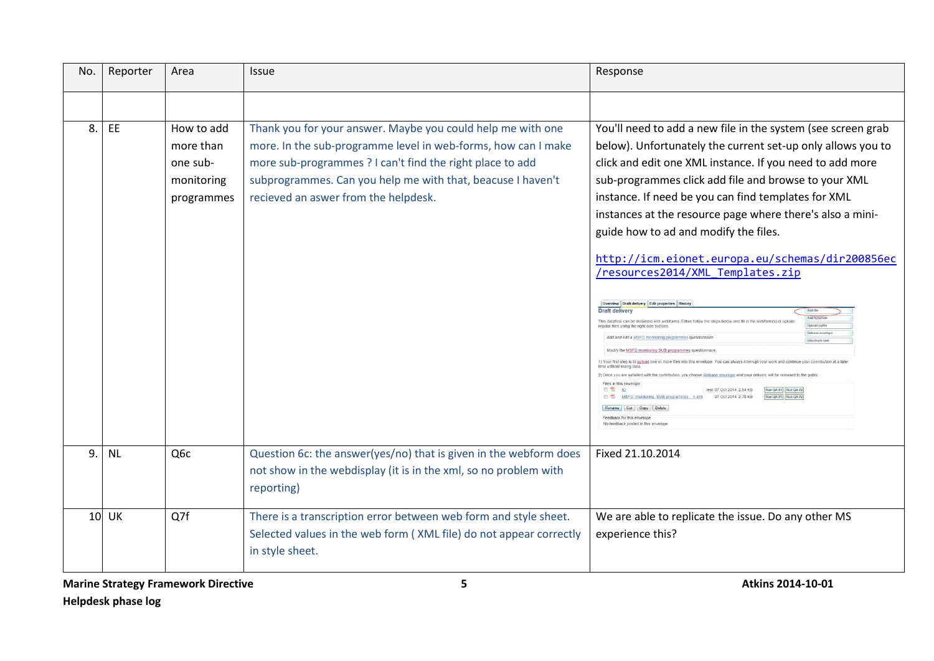| No. | Reporter  | Area                                                            | <b>Issue</b>                                                                                                                                                                                                                                                                                     | Response                                                                                                                                                                                                                                                                                                                                                                                                                                                                                                                                                                                                                                                                                                                                                                                                                                                                                                                                                                                                                                                                                                                                                                                                                                                                                                                                                                                                                                                                              |
|-----|-----------|-----------------------------------------------------------------|--------------------------------------------------------------------------------------------------------------------------------------------------------------------------------------------------------------------------------------------------------------------------------------------------|---------------------------------------------------------------------------------------------------------------------------------------------------------------------------------------------------------------------------------------------------------------------------------------------------------------------------------------------------------------------------------------------------------------------------------------------------------------------------------------------------------------------------------------------------------------------------------------------------------------------------------------------------------------------------------------------------------------------------------------------------------------------------------------------------------------------------------------------------------------------------------------------------------------------------------------------------------------------------------------------------------------------------------------------------------------------------------------------------------------------------------------------------------------------------------------------------------------------------------------------------------------------------------------------------------------------------------------------------------------------------------------------------------------------------------------------------------------------------------------|
|     |           |                                                                 |                                                                                                                                                                                                                                                                                                  |                                                                                                                                                                                                                                                                                                                                                                                                                                                                                                                                                                                                                                                                                                                                                                                                                                                                                                                                                                                                                                                                                                                                                                                                                                                                                                                                                                                                                                                                                       |
| 8.  | EE        | How to add<br>more than<br>one sub-<br>monitoring<br>programmes | Thank you for your answer. Maybe you could help me with one<br>more. In the sub-programme level in web-forms, how can I make<br>more sub-programmes ? I can't find the right place to add<br>subprogrammes. Can you help me with that, beacuse I haven't<br>recieved an aswer from the helpdesk. | You'll need to add a new file in the system (see screen grab<br>below). Unfortunately the current set-up only allows you to<br>click and edit one XML instance. If you need to add more<br>sub-programmes click add file and browse to your XML<br>instance. If need be you can find templates for XML<br>instances at the resource page where there's also a mini-<br>guide how to ad and modify the files.<br>http://icm.eionet.europa.eu/schemas/dir200856ec<br>/resources2014/XML Templates.zip<br>Overview Draft delivery Edit properties History<br><b>Draft delivery</b><br>Add file<br>Add hypert<br>This dataflow can be delivered with webforms. Either follow the steps below and fill in the webform(s) or upload<br>Upload zipfi<br>regular files using the right side buttons<br>Release env<br>Add and edit a MSFD monitoring programmes questionnair<br>Modify the MSFD monitoring SUB-programmes questionna<br>1) Your first step is to upload one or more files into this envelope. You can always interrupt your work and con<br>time without losing data<br>2) Once you are satisfied with the contribution, you choose Release envelope and your delivery will be released to the publi<br>Files in this envelope<br>日节 10<br>test 07 Oct 2014 2.84 KB<br>Run QA #1   Run QA #2<br>MSFD monitoring SUB-programmes 1.xml 07 Oct 2014 2.78 KB<br>Run QA #1 Run QA #2<br>Rename Cut Copy Delete<br>Feedback for this envelope<br>No feedback posted in this envelop |
| 9.  | <b>NL</b> | Q <sub>6</sub> c                                                | Question 6c: the answer(yes/no) that is given in the webform does<br>not show in the webdisplay (it is in the xml, so no problem with<br>reporting)                                                                                                                                              | Fixed 21.10.2014                                                                                                                                                                                                                                                                                                                                                                                                                                                                                                                                                                                                                                                                                                                                                                                                                                                                                                                                                                                                                                                                                                                                                                                                                                                                                                                                                                                                                                                                      |
|     | $10$ UK   | Q7f                                                             | There is a transcription error between web form and style sheet.<br>Selected values in the web form (XML file) do not appear correctly<br>in style sheet.                                                                                                                                        | We are able to replicate the issue. Do any other MS<br>experience this?                                                                                                                                                                                                                                                                                                                                                                                                                                                                                                                                                                                                                                                                                                                                                                                                                                                                                                                                                                                                                                                                                                                                                                                                                                                                                                                                                                                                               |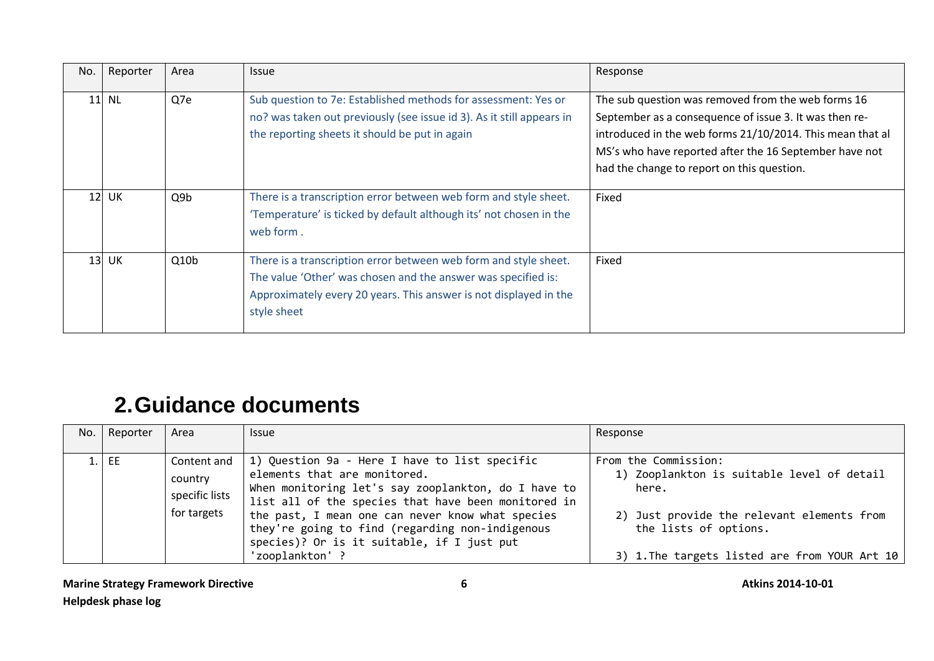| No. | Reporter | Area             | <b>Issue</b>                                                                                                                                                                                                          | Response                                                                                                                                                                                                                                                                          |
|-----|----------|------------------|-----------------------------------------------------------------------------------------------------------------------------------------------------------------------------------------------------------------------|-----------------------------------------------------------------------------------------------------------------------------------------------------------------------------------------------------------------------------------------------------------------------------------|
|     | 11 NL    | Q7e              | Sub question to 7e: Established methods for assessment: Yes or<br>no? was taken out previously (see issue id 3). As it still appears in<br>the reporting sheets it should be put in again                             | The sub question was removed from the web forms 16<br>September as a consequence of issue 3. It was then re-<br>introduced in the web forms 21/10/2014. This mean that al<br>MS's who have reported after the 16 September have not<br>had the change to report on this question. |
|     | 12 UK    | Q <sub>9</sub> b | There is a transcription error between web form and style sheet.<br>'Temperature' is ticked by default although its' not chosen in the<br>web form.                                                                   | Fixed                                                                                                                                                                                                                                                                             |
|     | $13$ UK  | Q10 <sub>b</sub> | There is a transcription error between web form and style sheet.<br>The value 'Other' was chosen and the answer was specified is:<br>Approximately every 20 years. This answer is not displayed in the<br>style sheet | Fixed                                                                                                                                                                                                                                                                             |

## <span id="page-5-0"></span>**2.Guidance documents**

| No.   Reporter | Area                                                    | <b>Issue</b>                                                                                                                                                                                                                                                                                                                                                        | Response                                                                                                                                                                                            |
|----------------|---------------------------------------------------------|---------------------------------------------------------------------------------------------------------------------------------------------------------------------------------------------------------------------------------------------------------------------------------------------------------------------------------------------------------------------|-----------------------------------------------------------------------------------------------------------------------------------------------------------------------------------------------------|
| $1.$ EE        | Content and<br>country<br>specific lists<br>for targets | 1) Question 9a - Here I have to list specific<br>elements that are monitored.<br>When monitoring let's say zooplankton, do I have to<br>list all of the species that have been monitored in<br>the past, I mean one can never know what species<br>they're going to find (regarding non-indigenous<br>species)? Or is it suitable, if I just put<br>'zooplankton' ? | From the Commission:<br>1) Zooplankton is suitable level of detail<br>here.<br>2) Just provide the relevant elements from<br>the lists of options.<br>3) 1. The targets listed are from YOUR Art 10 |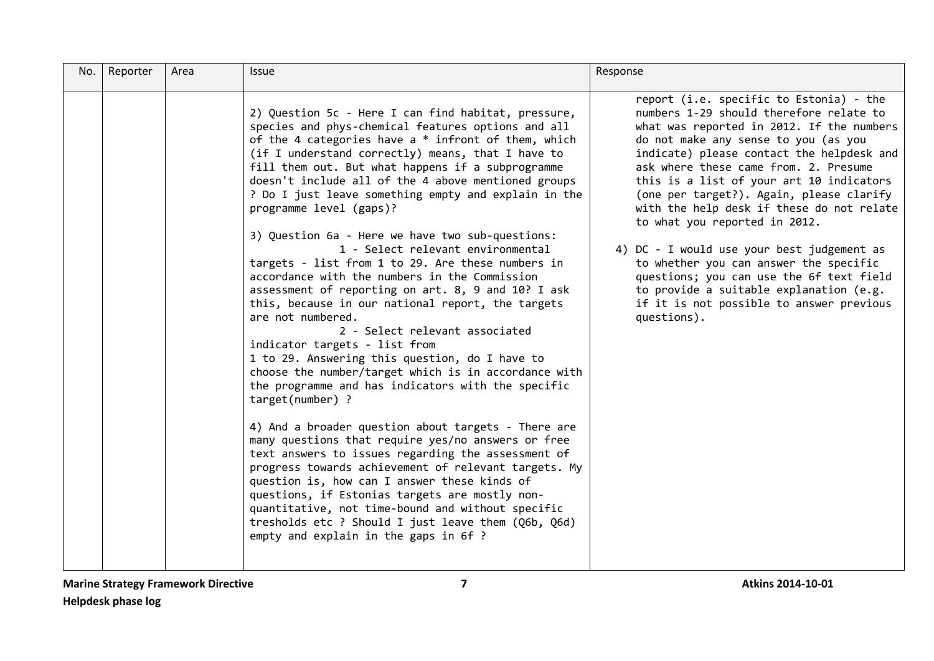| No. | Reporter | Area | Issue                                                                                                                                                                                                                                                                                                                                                                                                                                                                                                                                                                                                                                                                                                                                                                                                                                                                                                                                                                                                                                                                                                                                                                                                                                                                                                                                                                                                                                                                                          | Response                                                                                                                                                                                                                                                                                                                                                                                                                                                                                                                                                                                                                                                                      |
|-----|----------|------|------------------------------------------------------------------------------------------------------------------------------------------------------------------------------------------------------------------------------------------------------------------------------------------------------------------------------------------------------------------------------------------------------------------------------------------------------------------------------------------------------------------------------------------------------------------------------------------------------------------------------------------------------------------------------------------------------------------------------------------------------------------------------------------------------------------------------------------------------------------------------------------------------------------------------------------------------------------------------------------------------------------------------------------------------------------------------------------------------------------------------------------------------------------------------------------------------------------------------------------------------------------------------------------------------------------------------------------------------------------------------------------------------------------------------------------------------------------------------------------------|-------------------------------------------------------------------------------------------------------------------------------------------------------------------------------------------------------------------------------------------------------------------------------------------------------------------------------------------------------------------------------------------------------------------------------------------------------------------------------------------------------------------------------------------------------------------------------------------------------------------------------------------------------------------------------|
|     |          |      | 2) Question 5c - Here I can find habitat, pressure,<br>species and phys-chemical features options and all<br>of the 4 categories have a $*$ infront of them, which<br>(if I understand correctly) means, that I have to<br>fill them out. But what happens if a subprogramme<br>doesn't include all of the 4 above mentioned groups<br>? Do I just leave something empty and explain in the<br>programme level (gaps)?<br>3) Question 6a - Here we have two sub-questions:<br>1 - Select relevant environmental<br>targets - list from 1 to 29. Are these numbers in<br>accordance with the numbers in the Commission<br>assessment of reporting on art. 8, 9 and 10? I ask<br>this, because in our national report, the targets<br>are not numbered.<br>2 - Select relevant associated<br>indicator targets - list from<br>1 to 29. Answering this question, do I have to<br>choose the number/target which is in accordance with<br>the programme and has indicators with the specific<br>target(number) ?<br>4) And a broader question about targets - There are<br>many questions that require yes/no answers or free<br>text answers to issues regarding the assessment of<br>progress towards achievement of relevant targets. My<br>question is, how can I answer these kinds of<br>questions, if Estonias targets are mostly non-<br>quantitative, not time-bound and without specific<br>tresholds etc ? Should I just leave them (Q6b, Q6d)<br>empty and explain in the gaps in 6f ? | report (i.e. specific to Estonia) - the<br>numbers 1-29 should therefore relate to<br>what was reported in 2012. If the numbers<br>do not make any sense to you (as you<br>indicate) please contact the helpdesk and<br>ask where these came from. 2. Presume<br>this is a list of your art 10 indicators<br>(one per target?). Again, please clarify<br>with the help desk if these do not relate<br>to what you reported in 2012.<br>4) DC - I would use your best judgement as<br>to whether you can answer the specific<br>questions; you can use the 6f text field<br>to provide a suitable explanation (e.g.<br>if it is not possible to answer previous<br>questions). |